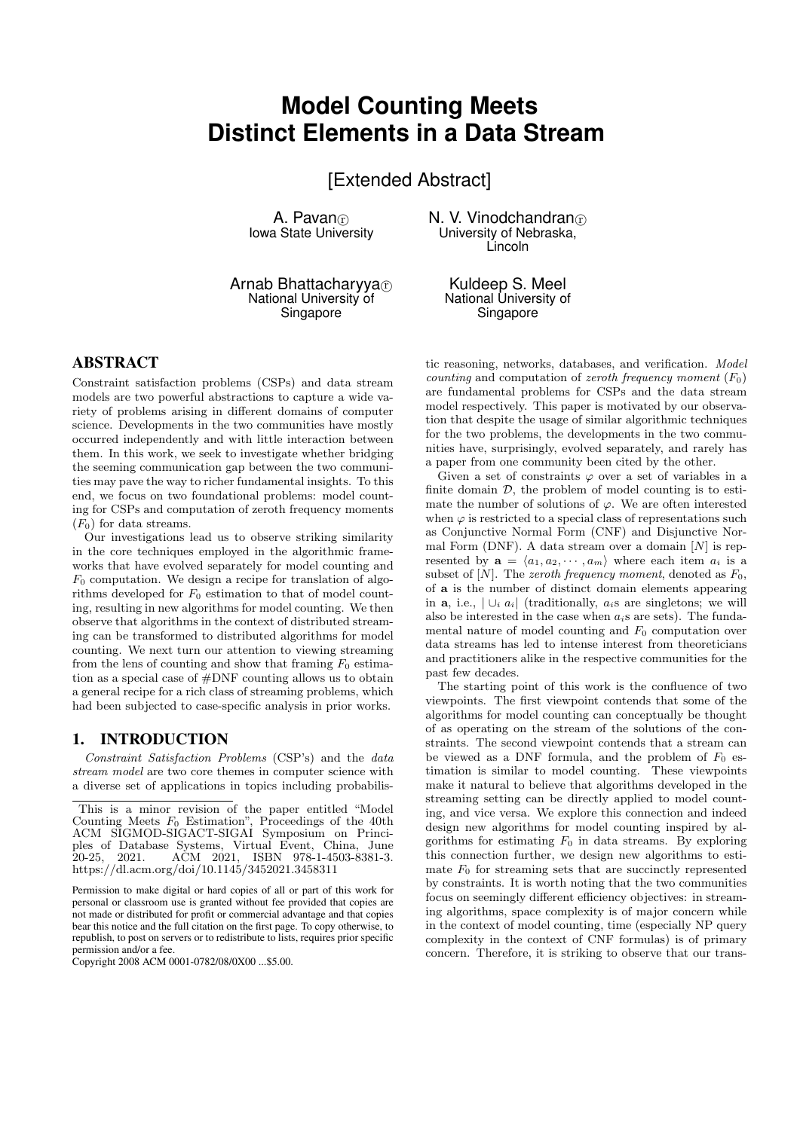# **Model Counting Meets Distinct Elements in a Data Stream**

[Extended Abstract]

A. Pavano Iowa State University

Arnab Bhattacharyya<sub>①</sub> National University of Singapore

N. V. Vinodchandran $\widehat{\mathbb{R}}$ University of Nebraska, Lincoln

> Kuldeep S. Meel National University of Singapore

# ABSTRACT

Constraint satisfaction problems (CSPs) and data stream models are two powerful abstractions to capture a wide variety of problems arising in different domains of computer science. Developments in the two communities have mostly occurred independently and with little interaction between them. In this work, we seek to investigate whether bridging the seeming communication gap between the two communities may pave the way to richer fundamental insights. To this end, we focus on two foundational problems: model counting for CSPs and computation of zeroth frequency moments  $(F_0)$  for data streams.

Our investigations lead us to observe striking similarity in the core techniques employed in the algorithmic frameworks that have evolved separately for model counting and  $F_0$  computation. We design a recipe for translation of algorithms developed for  $F_0$  estimation to that of model counting, resulting in new algorithms for model counting. We then observe that algorithms in the context of distributed streaming can be transformed to distributed algorithms for model counting. We next turn our attention to viewing streaming from the lens of counting and show that framing  $F_0$  estimation as a special case of #DNF counting allows us to obtain a general recipe for a rich class of streaming problems, which had been subjected to case-specific analysis in prior works.

# 1. INTRODUCTION

Constraint Satisfaction Problems (CSP's) and the data stream model are two core themes in computer science with a diverse set of applications in topics including probabilis-

tic reasoning, networks, databases, and verification. Model counting and computation of zeroth frequency moment  $(F_0)$ are fundamental problems for CSPs and the data stream model respectively. This paper is motivated by our observation that despite the usage of similar algorithmic techniques for the two problems, the developments in the two communities have, surprisingly, evolved separately, and rarely has a paper from one community been cited by the other.

Given a set of constraints  $\varphi$  over a set of variables in a finite domain  $\mathcal{D}$ , the problem of model counting is to estimate the number of solutions of  $\varphi$ . We are often interested when  $\varphi$  is restricted to a special class of representations such as Conjunctive Normal Form (CNF) and Disjunctive Normal Form (DNF). A data stream over a domain  $[N]$  is represented by  $\mathbf{a} = \langle a_1, a_2, \cdots, a_m \rangle$  where each item  $a_i$  is a subset of  $[N]$ . The *zeroth frequency moment*, denoted as  $F_0$ , of a is the number of distinct domain elements appearing in **a**, i.e.,  $\bigcup_i a_i$  (traditionally,  $a_i$ s are singletons; we will also be interested in the case when  $a_i$ s are sets). The fundamental nature of model counting and  $F_0$  computation over data streams has led to intense interest from theoreticians and practitioners alike in the respective communities for the past few decades.

The starting point of this work is the confluence of two viewpoints. The first viewpoint contends that some of the algorithms for model counting can conceptually be thought of as operating on the stream of the solutions of the constraints. The second viewpoint contends that a stream can be viewed as a DNF formula, and the problem of  $F_0$  estimation is similar to model counting. These viewpoints make it natural to believe that algorithms developed in the streaming setting can be directly applied to model counting, and vice versa. We explore this connection and indeed design new algorithms for model counting inspired by algorithms for estimating  $F_0$  in data streams. By exploring this connection further, we design new algorithms to estimate  $F_0$  for streaming sets that are succinctly represented by constraints. It is worth noting that the two communities focus on seemingly different efficiency objectives: in streaming algorithms, space complexity is of major concern while in the context of model counting, time (especially NP query complexity in the context of CNF formulas) is of primary concern. Therefore, it is striking to observe that our trans-

This is a minor revision of the paper entitled "Model Counting Meets  $F_0$  Estimation", Proceedings of the 40th ACM SIGMOD-SIGACT-SIGAI Symposium on Principles of Database Systems, Virtual Event, China, June 20-25, 2021. ACM 2021, ISBN 978-1-4503-8381-3. https://dl.acm.org/doi/10.1145/3452021.3458311

Permission to make digital or hard copies of all or part of this work for personal or classroom use is granted without fee provided that copies are not made or distributed for profit or commercial advantage and that copies bear this notice and the full citation on the first page. To copy otherwise, to republish, to post on servers or to redistribute to lists, requires prior specific permission and/or a fee.

Copyright 2008 ACM 0001-0782/08/0X00 ...\$5.00.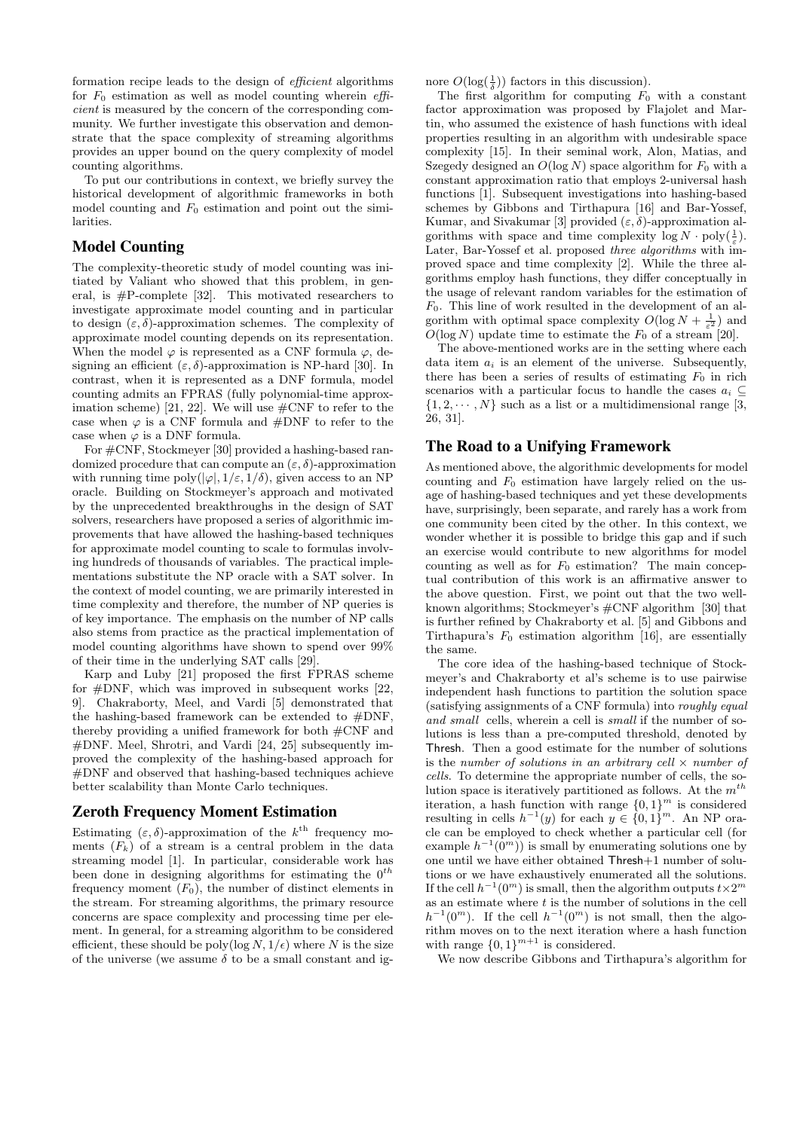formation recipe leads to the design of efficient algorithms for  $F_0$  estimation as well as model counting wherein *effi*cient is measured by the concern of the corresponding community. We further investigate this observation and demonstrate that the space complexity of streaming algorithms provides an upper bound on the query complexity of model counting algorithms.

To put our contributions in context, we briefly survey the historical development of algorithmic frameworks in both model counting and  $F_0$  estimation and point out the similarities.

# Model Counting

The complexity-theoretic study of model counting was initiated by Valiant who showed that this problem, in general, is #P-complete [32]. This motivated researchers to investigate approximate model counting and in particular to design  $(\varepsilon, \delta)$ -approximation schemes. The complexity of approximate model counting depends on its representation. When the model  $\varphi$  is represented as a CNF formula  $\varphi$ , designing an efficient  $(\varepsilon, \delta)$ -approximation is NP-hard [30]. In contrast, when it is represented as a DNF formula, model counting admits an FPRAS (fully polynomial-time approximation scheme) [21, 22]. We will use  $\#\text{CNF}$  to refer to the case when  $\varphi$  is a CNF formula and  $\#DNF$  to refer to the case when  $\varphi$  is a DNF formula.

For #CNF, Stockmeyer [30] provided a hashing-based randomized procedure that can compute an  $(\varepsilon, \delta)$ -approximation with running time poly( $|\varphi|$ ,  $1/\varepsilon$ ,  $1/\delta$ ), given access to an NP oracle. Building on Stockmeyer's approach and motivated by the unprecedented breakthroughs in the design of SAT solvers, researchers have proposed a series of algorithmic improvements that have allowed the hashing-based techniques for approximate model counting to scale to formulas involving hundreds of thousands of variables. The practical implementations substitute the NP oracle with a SAT solver. In the context of model counting, we are primarily interested in time complexity and therefore, the number of NP queries is of key importance. The emphasis on the number of NP calls also stems from practice as the practical implementation of model counting algorithms have shown to spend over 99% of their time in the underlying SAT calls [29].

Karp and Luby [21] proposed the first FPRAS scheme for  $\#DNF$ , which was improved in subsequent works [22, 9]. Chakraborty, Meel, and Vardi [5] demonstrated that the hashing-based framework can be extended to #DNF, thereby providing a unified framework for both #CNF and #DNF. Meel, Shrotri, and Vardi [24, 25] subsequently improved the complexity of the hashing-based approach for #DNF and observed that hashing-based techniques achieve better scalability than Monte Carlo techniques.

# Zeroth Frequency Moment Estimation

Estimating  $(\varepsilon, \delta)$ -approximation of the  $k^{\text{th}}$  frequency moments  $(F_k)$  of a stream is a central problem in the data streaming model [1]. In particular, considerable work has been done in designing algorithms for estimating the  $0^{th}$ frequency moment  $(F_0)$ , the number of distinct elements in the stream. For streaming algorithms, the primary resource concerns are space complexity and processing time per element. In general, for a streaming algorithm to be considered efficient, these should be poly( $\log N$ ,  $1/\epsilon$ ) where N is the size of the universe (we assume  $\delta$  to be a small constant and ignore  $O(\log(\frac{1}{\delta}))$  factors in this discussion).

The first algorithm for computing  $F_0$  with a constant factor approximation was proposed by Flajolet and Martin, who assumed the existence of hash functions with ideal properties resulting in an algorithm with undesirable space complexity [15]. In their seminal work, Alon, Matias, and Szegedy designed an  $O(\log N)$  space algorithm for  $F_0$  with a constant approximation ratio that employs 2-universal hash functions [1]. Subsequent investigations into hashing-based schemes by Gibbons and Tirthapura [16] and Bar-Yossef, Kumar, and Sivakumar [3] provided  $(\varepsilon, \delta)$ -approximation algorithms with space and time complexity  $\log N \cdot \text{poly}(\frac{1}{\varepsilon})$ . Later, Bar-Yossef et al. proposed three algorithms with improved space and time complexity [2]. While the three algorithms employ hash functions, they differ conceptually in the usage of relevant random variables for the estimation of  $F_0$ . This line of work resulted in the development of an algorithm with optimal space complexity  $O(\log N + \frac{1}{\varepsilon^2})$  and  $O(\log N)$  update time to estimate the  $F_0$  of a stream [20].

The above-mentioned works are in the setting where each data item  $a_i$  is an element of the universe. Subsequently, there has been a series of results of estimating  $F_0$  in rich scenarios with a particular focus to handle the cases  $a_i \n\subset$  $\{1, 2, \dots, N\}$  such as a list or a multidimensional range [3, 26, 31].

# The Road to a Unifying Framework

As mentioned above, the algorithmic developments for model counting and  $F_0$  estimation have largely relied on the usage of hashing-based techniques and yet these developments have, surprisingly, been separate, and rarely has a work from one community been cited by the other. In this context, we wonder whether it is possible to bridge this gap and if such an exercise would contribute to new algorithms for model counting as well as for  $F_0$  estimation? The main conceptual contribution of this work is an affirmative answer to the above question. First, we point out that the two wellknown algorithms; Stockmeyer's #CNF algorithm [30] that is further refined by Chakraborty et al. [5] and Gibbons and Tirthapura's  $F_0$  estimation algorithm [16], are essentially the same.

The core idea of the hashing-based technique of Stockmeyer's and Chakraborty et al's scheme is to use pairwise independent hash functions to partition the solution space (satisfying assignments of a CNF formula) into roughly equal and small cells, wherein a cell is small if the number of solutions is less than a pre-computed threshold, denoted by Thresh. Then a good estimate for the number of solutions is the number of solutions in an arbitrary cell  $\times$  number of cells. To determine the appropriate number of cells, the solution space is iteratively partitioned as follows. At the  $m^{th}$ iteration, a hash function with range  $\{0,1\}^m$  is considered resulting in cells  $h^{-1}(y)$  for each  $y \in \{0,1\}^m$ . An NP oracle can be employed to check whether a particular cell (for example  $h^{-1}(0^m)$  is small by enumerating solutions one by one until we have either obtained Thresh+1 number of solutions or we have exhaustively enumerated all the solutions. If the cell  $h^{-1}(0^m)$  is small, then the algorithm outputs  $t \times 2^m$ as an estimate where  $t$  is the number of solutions in the cell  $h^{-1}(0^m)$ . If the cell  $h^{-1}(0^m)$  is not small, then the algorithm moves on to the next iteration where a hash function with range  $\{0,1\}^{m+1}$  is considered.

We now describe Gibbons and Tirthapura's algorithm for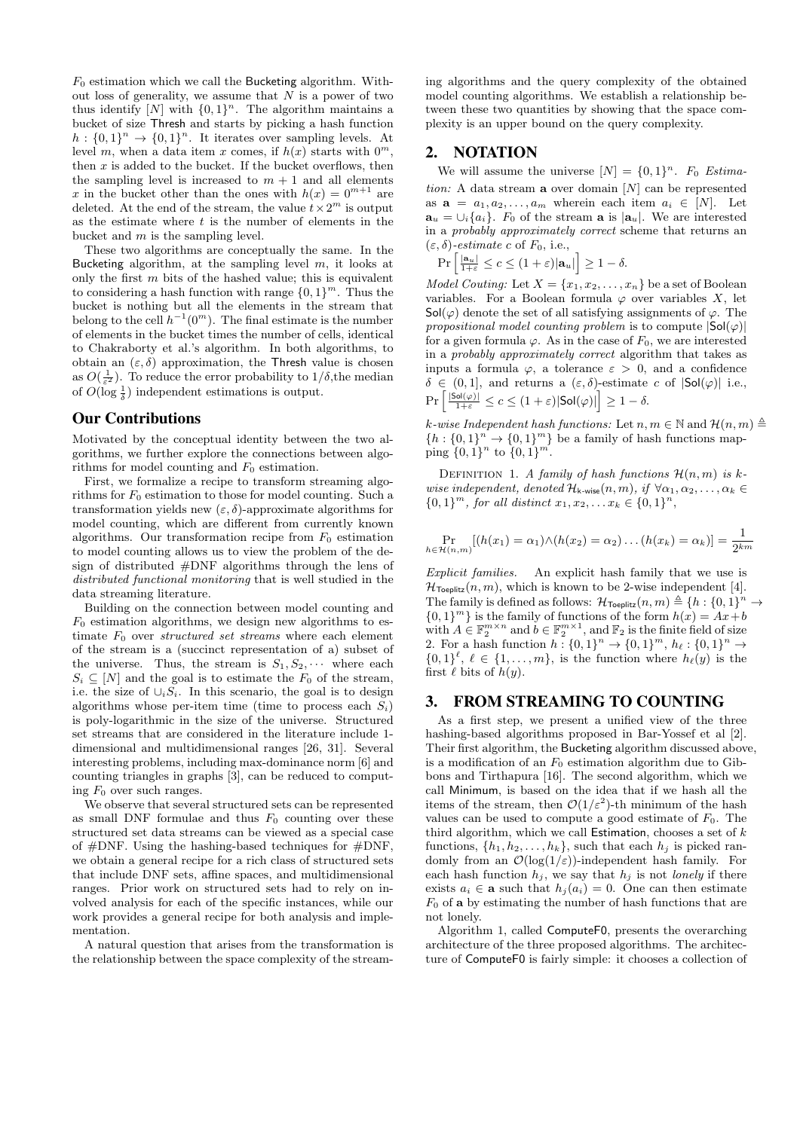$F_0$  estimation which we call the Bucketing algorithm. Without loss of generality, we assume that  $N$  is a power of two thus identify  $[N]$  with  $\{0,1\}^n$ . The algorithm maintains a bucket of size Thresh and starts by picking a hash function  $h: \{0,1\}^n \to \{0,1\}^n$ . It iterates over sampling levels. At level m, when a data item x comes, if  $h(x)$  starts with  $0^m$ , then  $x$  is added to the bucket. If the bucket overflows, then the sampling level is increased to  $m + 1$  and all elements x in the bucket other than the ones with  $h(x) = 0^{m+1}$  are deleted. At the end of the stream, the value  $t \times 2^m$  is output as the estimate where  $t$  is the number of elements in the bucket and  $m$  is the sampling level.

These two algorithms are conceptually the same. In the Bucketing algorithm, at the sampling level  $m$ , it looks at only the first  $m$  bits of the hashed value; this is equivalent to considering a hash function with range  $\{0,1\}^m$ . Thus the bucket is nothing but all the elements in the stream that belong to the cell  $h^{-1}(0^m)$ . The final estimate is the number of elements in the bucket times the number of cells, identical to Chakraborty et al.'s algorithm. In both algorithms, to obtain an  $(\varepsilon, \delta)$  approximation, the Thresh value is chosen as  $O(\frac{1}{\varepsilon^2})$ . To reduce the error probability to  $1/\delta$ , the median of  $O(\log \frac{1}{\delta})$  independent estimations is output.

#### Our Contributions

Motivated by the conceptual identity between the two algorithms, we further explore the connections between algorithms for model counting and  $F_0$  estimation.

First, we formalize a recipe to transform streaming algorithms for  $F_0$  estimation to those for model counting. Such a transformation yields new  $(\varepsilon, \delta)$ -approximate algorithms for model counting, which are different from currently known algorithms. Our transformation recipe from  $F_0$  estimation to model counting allows us to view the problem of the design of distributed #DNF algorithms through the lens of distributed functional monitoring that is well studied in the data streaming literature.

Building on the connection between model counting and  $F_0$  estimation algorithms, we design new algorithms to estimate  $F_0$  over *structured set streams* where each element of the stream is a (succinct representation of a) subset of the universe. Thus, the stream is  $S_1, S_2, \cdots$  where each  $S_i \subseteq [N]$  and the goal is to estimate the  $F_0$  of the stream, i.e. the size of  $\cup_i S_i$ . In this scenario, the goal is to design algorithms whose per-item time (time to process each  $S_i$ ) is poly-logarithmic in the size of the universe. Structured set streams that are considered in the literature include 1 dimensional and multidimensional ranges [26, 31]. Several interesting problems, including max-dominance norm [6] and counting triangles in graphs [3], can be reduced to computing  $F_0$  over such ranges.

We observe that several structured sets can be represented as small DNF formulae and thus  $F_0$  counting over these structured set data streams can be viewed as a special case of  $#DNF$ . Using the hashing-based techniques for  $#DNF$ , we obtain a general recipe for a rich class of structured sets that include DNF sets, affine spaces, and multidimensional ranges. Prior work on structured sets had to rely on involved analysis for each of the specific instances, while our work provides a general recipe for both analysis and implementation.

A natural question that arises from the transformation is the relationship between the space complexity of the streaming algorithms and the query complexity of the obtained model counting algorithms. We establish a relationship between these two quantities by showing that the space complexity is an upper bound on the query complexity.

#### 2. NOTATION

We will assume the universe  $[N] = \{0, 1\}^n$ .  $F_0$  Estimation: A data stream **a** over domain  $[N]$  can be represented as  $\mathbf{a} = a_1, a_2, \ldots, a_m$  wherein each item  $a_i \in [N]$ . Let  $\mathbf{a}_u = \bigcup_i \{a_i\}.$  F<sub>0</sub> of the stream **a** is  $|\mathbf{a}_u|$ . We are interested in a probably approximately correct scheme that returns an  $(\varepsilon, \delta)$ -estimate c of  $F_0$ , i.e.,

$$
\Pr\left[\frac{|\mathbf{a}_u|}{1+\varepsilon} \le c \le (1+\varepsilon)|\mathbf{a}_u|\right] \ge 1-\delta.
$$

*Model Couting:* Let  $X = \{x_1, x_2, \ldots, x_n\}$  be a set of Boolean variables. For a Boolean formula  $\varphi$  over variables X, let  $\mathsf{Sol}(\varphi)$  denote the set of all satisfying assignments of  $\varphi$ . The propositional model counting problem is to compute  $|\mathsf{Sol}(\varphi)|$ for a given formula  $\varphi$ . As in the case of  $F_0$ , we are interested in a probably approximately correct algorithm that takes as inputs a formula  $\varphi$ , a tolerance  $\varepsilon > 0$ , and a confidence  $\delta \in (0,1],$  and returns a  $(\varepsilon, \delta)$ -estimate c of  $|\mathsf{Sol}(\varphi)|$  i.e.,  $\Pr\left[\frac{|\mathsf{Sol}(\varphi)|}{1+\varepsilon}\leq c\leq (1+\varepsilon)|\mathsf{Sol}(\varphi)|\right]\geq 1-\delta.$ 

k-wise Independent hash functions: Let  $n, m \in \mathbb{N}$  and  $\mathcal{H}(n, m) \triangleq$  ${h:\{0,1\}^n \to \{0,1\}^m}$  be a family of hash functions mapping  $\{0,1\}^n$  to  $\{0,1\}^m$ .

DEFINITION 1. A family of hash functions  $\mathcal{H}(n,m)$  is kwise independent, denoted  $\mathcal{H}_{k\text{-wise}}(n,m)$ , if  $\forall \alpha_1, \alpha_2, \ldots, \alpha_k \in$  ${0,1}^m$ , for all distinct  $x_1, x_2, ... x_k \in {0,1}^n$ ,

$$
\Pr_{h \in \mathcal{H}(n,m)}[(h(x_1) = \alpha_1) \wedge (h(x_2) = \alpha_2) \dots (h(x_k) = \alpha_k)] = \frac{1}{2^{km}}
$$

Explicit families. An explicit hash family that we use is  $\mathcal{H}_{\text{Toeplitz}}(n, m)$ , which is known to be 2-wise independent [4]. The family is defined as follows:  $\mathcal{H}_{\text{Toeplitz}}(n,m) \triangleq \{h : \{0,1\}^n \to$  $\{0,1\}^m$  is the family of functions of the form  $h(x) = Ax + b$ with  $A \in \mathbb{F}_2^{m \times n}$  and  $b \in \mathbb{F}_2^{m \times 1}$ , and  $\mathbb{F}_2$  is the finite field of size 2. For a hash function  $h: \{0,1\}^n \to \{0,1\}^m$ ,  $h_{\ell}: \{0,1\}^n \to$  $\{0,1\}^{\ell}, \ell \in \{1,\ldots,m\},\$ is the function where  $h_{\ell}(y)$  is the first  $\ell$  bits of  $h(y)$ .

#### 3. FROM STREAMING TO COUNTING

As a first step, we present a unified view of the three hashing-based algorithms proposed in Bar-Yossef et al [2]. Their first algorithm, the Bucketing algorithm discussed above, is a modification of an  $F_0$  estimation algorithm due to Gibbons and Tirthapura [16]. The second algorithm, which we call Minimum, is based on the idea that if we hash all the items of the stream, then  $\mathcal{O}(1/\varepsilon^2)$ -th minimum of the hash values can be used to compute a good estimate of  $F_0$ . The third algorithm, which we call Estimation, chooses a set of  $k$ functions,  $\{h_1, h_2, \ldots, h_k\}$ , such that each  $h_i$  is picked randomly from an  $\mathcal{O}(\log(1/\varepsilon))$ -independent hash family. For each hash function  $h_j$ , we say that  $h_j$  is not lonely if there exists  $a_i \in \mathbf{a}$  such that  $h_i(a_i) = 0$ . One can then estimate  $F_0$  of **a** by estimating the number of hash functions that are not lonely.

Algorithm 1, called ComputeF0, presents the overarching architecture of the three proposed algorithms. The architecture of ComputeF0 is fairly simple: it chooses a collection of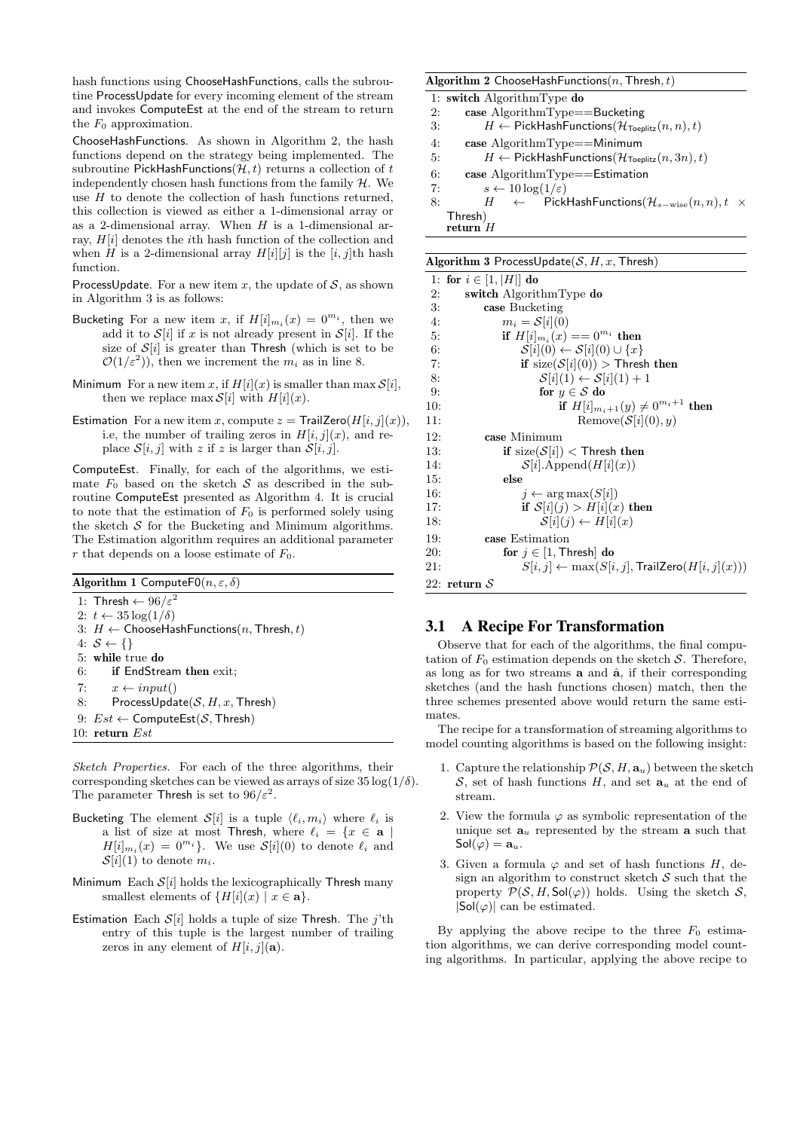hash functions using ChooseHashFunctions, calls the subroutine ProcessUpdate for every incoming element of the stream and invokes ComputeEst at the end of the stream to return the  $F_0$  approximation.

ChooseHashFunctions. As shown in Algorithm 2, the hash functions depend on the strategy being implemented. The subroutine PickHashFunctions( $\mathcal{H}, t$ ) returns a collection of t independently chosen hash functions from the family  $H$ . We use  $H$  to denote the collection of hash functions returned, this collection is viewed as either a 1-dimensional array or as a 2-dimensional array. When  $H$  is a 1-dimensional array,  $H[i]$  denotes the *i*th hash function of the collection and when H is a 2-dimensional array  $H[i][j]$  is the  $[i, j]$ th hash function.

ProcessUpdate. For a new item  $x$ , the update of  $S$ , as shown in Algorithm 3 is as follows:

- Bucketing For a new item x, if  $H[i]_{m_i}(x) = 0^{m_i}$ , then we add it to  $S[i]$  if x is not already present in  $S[i]$ . If the size of  $S[i]$  is greater than Thresh (which is set to be  $\mathcal{O}(1/\varepsilon^2)$ , then we increment the  $m_i$  as in line 8.
- Minimum For a new item x, if  $H[i](x)$  is smaller than max  $S[i]$ , then we replace  $\max S[i]$  with  $H[i](x)$ .
- Estimation For a new item x, compute  $z = \text{TailZero}(H[i, j](x)),$ i.e, the number of trailing zeros in  $H[i, j](x)$ , and replace  $\mathcal{S}[i, j]$  with z if z is larger than  $\mathcal{S}[i, j]$ .

ComputeEst. Finally, for each of the algorithms, we estimate  $F_0$  based on the sketch S as described in the subroutine ComputeEst presented as Algorithm 4. It is crucial to note that the estimation of  $F_0$  is performed solely using the sketch  $S$  for the Bucketing and Minimum algorithms. The Estimation algorithm requires an additional parameter r that depends on a loose estimate of  $F_0$ .

Algorithm 1 ComputeF0 $(n, \varepsilon, \delta)$ 1: Thresh  $\leftarrow 96/\varepsilon^2$ 2:  $t \leftarrow 35 \log(1/\delta)$ 3:  $H \leftarrow$  ChooseHashFunctions $(n,$  Thresh, t) 4:  $S \leftarrow \{\}$ 5: while true do 6: if EndStream then exit; 7:  $x \leftarrow input()$ 8: ProcessUpdate( $S, H, x$ , Thresh) 9:  $Est$  ← ComputeEst(S, Thresh) 10: return Est

Sketch Properties. For each of the three algorithms, their corresponding sketches can be viewed as arrays of size  $35 \log(1/\delta)$ . The parameter Thresh is set to  $96/\varepsilon^2$ .

- Bucketing The element  $S[i]$  is a tuple  $\langle \ell_i, m_i \rangle$  where  $\ell_i$  is a list of size at most Thresh, where  $\ell_i = \{x \in \mathbf{a} \mid$  $H[i]_{m_i}(x) = 0^{m_i}$ . We use  $S[i](0)$  to denote  $\ell_i$  and  $\mathcal{S}[i](1)$  to denote  $m_i$ .
- Minimum Each  $S[i]$  holds the lexicographically Thresh many smallest elements of  $\{H[i](x) \mid x \in \mathbf{a}\}.$
- Estimation Each  $S[i]$  holds a tuple of size Thresh. The j'th entry of this tuple is the largest number of trailing zeros in any element of  $H[i, j](\mathbf{a})$ .

# Algorithm 2 ChooseHashFunctions( $n$ , Thresh,  $t$ ) 1: switch AlgorithmType do 2: case AlgorithmType==Bucketing 3:  $H \leftarrow \text{PickHashFunctions}(\mathcal{H}_{\text{Toeplitz}}(n, n), t)$ 4: case AlgorithmType==Minimum 5:  $H \leftarrow \text{PickHashFunctions}(\mathcal{H}_{\text{Toeplitz}}(n, 3n), t)$ 6: case AlgorithmType==Estimation 7:  $s \leftarrow 10 \log(1/\varepsilon)$ 8: H ← PickHashFunctions $(\mathcal{H}_{s-\text{wise}}(n, n), t \times$ Thresh)

|  | Algorithm 3 ProcessUpdate( $S, H, x$ , Thresh) |
|--|------------------------------------------------|
|--|------------------------------------------------|

return  $H$ 

|     | 1: for $i \in [1,  H ]$ do                                       |
|-----|------------------------------------------------------------------|
| 2:  | switch AlgorithmType do                                          |
| 3:  | case Bucketing                                                   |
| 4:  | $m_i = \mathcal{S}[i](0)$                                        |
| 5:  | if $H[i]_{m_i}(x) == 0^{m_i}$ then                               |
| 6:  | $\mathcal{S}[i](0) \leftarrow \mathcal{S}[i](0) \cup \{x\}$      |
| 7:  | if $size(S[i](0))$ > Thresh then                                 |
| 8:  | $\mathcal{S}[i](1) \leftarrow \mathcal{S}[i](1) + 1$             |
| 9:  | for $y \in \mathcal{S}$ do                                       |
| 10: | if $H[i]_{m_i+1}(y) \neq 0^{m_i+1}$ then                         |
| 11: | Remove $(\mathcal{S}[i](0), y)$                                  |
| 12: | case Minimum                                                     |
| 13: | if $size(S[i]) <$ Thresh then                                    |
| 14: | $\mathcal{S}[i].\text{Append}(H[i](x))$                          |
| 15: | else                                                             |
| 16: | $i \leftarrow \arg \max(S[i])$                                   |
| 17: | if $S[i](j) > H[i](x)$ then                                      |
| 18: | $\mathcal{S}[i](j) \leftarrow H[i](x)$                           |
| 19: | case Estimation                                                  |
| 20: | for $j \in [1,$ Thresh do                                        |
| 21: | $S[i, j] \leftarrow \max(S[i, j], \text{TrailZero}(H[i, j](x)))$ |
|     | 22: return $S$                                                   |

# 3.1 A Recipe For Transformation

Observe that for each of the algorithms, the final computation of  $F_0$  estimation depends on the sketch  $\mathcal{S}$ . Therefore, as long as for two streams  $a$  and  $\hat{a}$ , if their corresponding sketches (and the hash functions chosen) match, then the three schemes presented above would return the same estimates.

The recipe for a transformation of streaming algorithms to model counting algorithms is based on the following insight:

- 1. Capture the relationship  $\mathcal{P}(\mathcal{S}, H, \mathbf{a}_u)$  between the sketch S, set of hash functions H, and set  $a_u$  at the end of stream.
- 2. View the formula  $\varphi$  as symbolic representation of the unique set  $\mathbf{a}_u$  represented by the stream **a** such that  $Sol(\varphi) = \mathbf{a}_u.$
- 3. Given a formula  $\varphi$  and set of hash functions H, design an algorithm to construct sketch  $S$  such that the property  $\mathcal{P}(\mathcal{S}, H, \mathsf{Sol}(\varphi))$  holds. Using the sketch  $\mathcal{S},$  $|Sol(\varphi)|$  can be estimated.

By applying the above recipe to the three  $F_0$  estimation algorithms, we can derive corresponding model counting algorithms. In particular, applying the above recipe to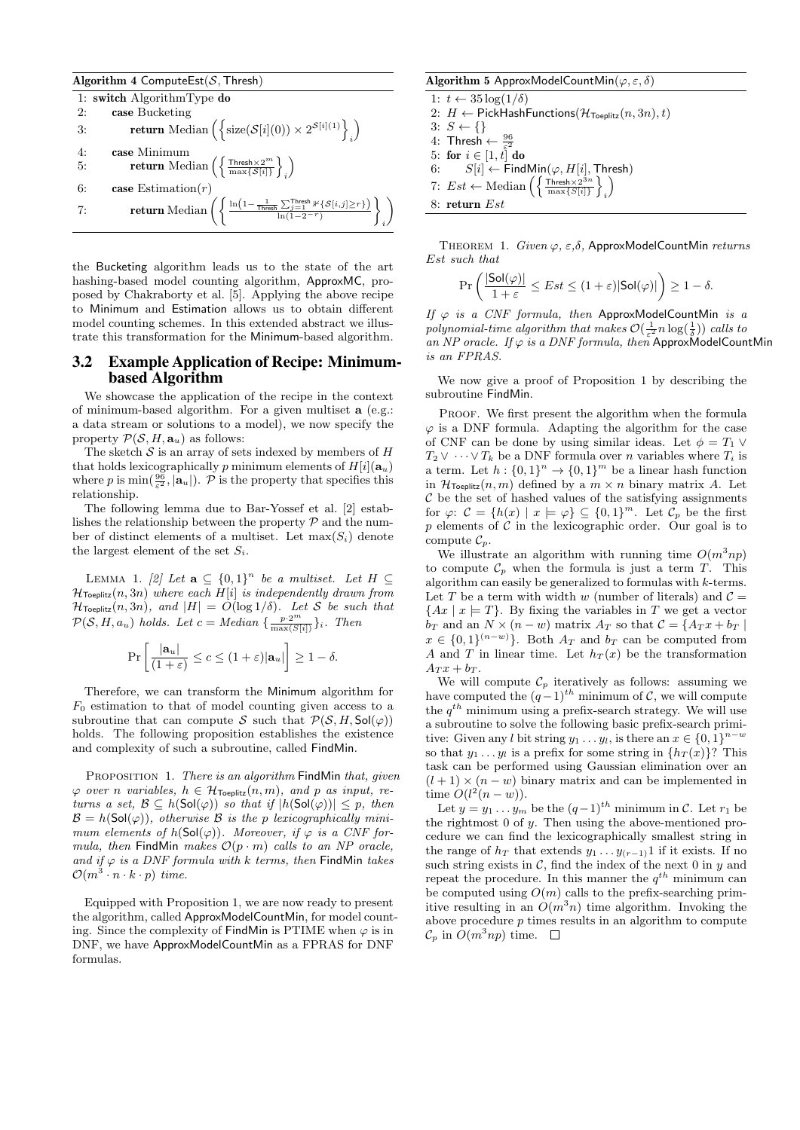Algorithm 4 ComputeEst( $S$ , Thresh)

|    | 1: switch Algorithm Type do                                                                                                                                         |
|----|---------------------------------------------------------------------------------------------------------------------------------------------------------------------|
| 2: | case Bucketing                                                                                                                                                      |
| 3: | <b>return</b> Median $\left( \left\{ \text{size}(\mathcal{S}[i](0)) \times 2^{\mathcal{S}[i](1)} \right\} \right)$                                                  |
| 4: | case Minimum                                                                                                                                                        |
| 5: | <b>return</b> Median $\left(\left\{\frac{\text{Thresh} \times 2^m}{\max\{S[i]\}}\right\}\right)$                                                                    |
| 6: | case Estimation $(r)$                                                                                                                                               |
| 7: | <b>return</b> Median $\left( \left\{ \frac{\ln\left(1 - \frac{1}{\text{Thresh}} \sum_{j=1}^{T} \log  F\{S[i,j] \geq r\} \right)}{\ln(1 - 2^{-r})} \right\} \right)$ |
|    |                                                                                                                                                                     |

the Bucketing algorithm leads us to the state of the art hashing-based model counting algorithm, ApproxMC, proposed by Chakraborty et al. [5]. Applying the above recipe to Minimum and Estimation allows us to obtain different model counting schemes. In this extended abstract we illustrate this transformation for the Minimum-based algorithm.

## 3.2 Example Application of Recipe: Minimumbased Algorithm

We showcase the application of the recipe in the context of minimum-based algorithm. For a given multiset a (e.g.: a data stream or solutions to a model), we now specify the property  $\mathcal{P}(\mathcal{S}, H, \mathbf{a}_u)$  as follows:

The sketch  $S$  is an array of sets indexed by members of  $H$ that holds lexicographically p minimum elements of  $H[i](a_u)$ where p is  $\min(\frac{96}{\varepsilon^2}, |\mathbf{a}_u|)$ . P is the property that specifies this relationship.

The following lemma due to Bar-Yossef et al. [2] establishes the relationship between the property  $P$  and the number of distinct elements of a multiset. Let  $\max(S_i)$  denote the largest element of the set  $S_i$ .

LEMMA 1. [2] Let  $\mathbf{a} \subseteq \{0,1\}^n$  be a multiset. Let  $H \subseteq$  $H_{\text{Toeplitz}}(n, 3n)$  where each  $H[i]$  is independently drawn from  $\mathcal{H}_{\text{Toeplitz}}(n,3n)$ , and  $|H| = O(\log 1/\delta)$ . Let  $S$  be such that  $\mathcal{P}(\mathcal{S}, H, a_u)$  holds. Let  $c = Median \left\{ \frac{p \cdot 2^m}{\max(S[i])} \right\}$ . Then

$$
\Pr\left[\frac{|\mathbf{a}_u|}{(1+\varepsilon)} \le c \le (1+\varepsilon)|\mathbf{a}_u|\right] \ge 1-\delta.
$$

Therefore, we can transform the Minimum algorithm for  $F_0$  estimation to that of model counting given access to a subroutine that can compute S such that  $\mathcal{P}(\mathcal{S}, H, \mathsf{Sol}(\varphi))$ holds. The following proposition establishes the existence and complexity of such a subroutine, called FindMin.

PROPOSITION 1. There is an algorithm FindMin that, given  $\varphi$  over n variables,  $h \in \mathcal{H}_{\text{Toeplitz}}(n,m)$ , and p as input, returns a set,  $\mathcal{B} \subseteq h(\mathsf{Sol}(\varphi))$  so that if  $|h(\mathsf{Sol}(\varphi))| \leq p$ , then  $\mathcal{B} = h(\mathsf{Sol}(\varphi))$ , otherwise  $\mathcal B$  is the p lexicographically minimum elements of  $h(Sol(\varphi))$ . Moreover, if  $\varphi$  is a CNF formula, then FindMin makes  $\mathcal{O}(p \cdot m)$  calls to an NP oracle, and if  $\varphi$  is a DNF formula with k terms, then FindMin takes  $\mathcal{O}(m^3 \cdot n \cdot k \cdot p)$  time.

Equipped with Proposition 1, we are now ready to present the algorithm, called ApproxModelCountMin, for model counting. Since the complexity of FindMin is PTIME when  $\varphi$  is in DNF, we have ApproxModelCountMin as a FPRAS for DNF formulas.

#### Algorithm 5 ApproxModelCountMin $(\varphi, \varepsilon, \delta)$

1:  $t \leftarrow 35 \log(1/\delta)$ 

2:  $H$  ← PickHashFunctions( $\mathcal{H}_{\mathsf{Toeplitz}}(n,3n),t$ )

3:  $S \leftarrow \{\}$ 

4: Thresh  $\leftarrow \frac{96}{\varepsilon^2}$ 

5: for  $i \in [1, t]$  do

- 6:  $S[i] \leftarrow \textsf{FindMin}(\varphi, H[i], \textsf{Thresh})$  $\setminus$
- 7:  $Est \leftarrow \text{Median} \left( \left\{ \frac{\text{Thresh} \times 2^{3n}}{\text{max} \{ S[i] \}} \right\} \right)$  $\left\{\frac{\text{Thresh} \times 2^{3n}}{\max\{S[i]\}}\right\}$ i

8: return Est

THEOREM 1. Given  $\varphi$ ,  $\varepsilon$ ,  $\delta$ , ApproxModelCountMin returns Est such that

$$
\Pr\left(\frac{|\mathsf{Sol}(\varphi)|}{1+\varepsilon}\leq Est\leq (1+\varepsilon)|\mathsf{Sol}(\varphi)|\right)\geq 1-\delta.
$$

If  $\varphi$  is a CNF formula, then ApproxModelCountMin is a polynomial-time algorithm that makes  $\mathcal{O}(\frac{1}{\varepsilon^2} n \log(\frac{1}{\delta}))$  calls to an NP oracle. If  $\varphi$  is a DNF formula, then ApproxModelCountMin is an FPRAS.

We now give a proof of Proposition 1 by describing the subroutine FindMin.

PROOF. We first present the algorithm when the formula  $\varphi$  is a DNF formula. Adapting the algorithm for the case of CNF can be done by using similar ideas. Let  $\phi = T_1 \vee$  $T_2 \vee \cdots \vee T_k$  be a DNF formula over *n* variables where  $T_i$  is a term. Let  $h: \{0,1\}^n \to \{0,1\}^m$  be a linear hash function in  $\mathcal{H}_{\text{Toeplitz}}(n,m)$  defined by a  $m \times n$  binary matrix A. Let  $\mathcal C$  be the set of hashed values of the satisfying assignments for  $\varphi: \mathcal{C} = \{h(x) \mid x \models \varphi\} \subseteq \{0,1\}^m$ . Let  $\mathcal{C}_p$  be the first  $p$  elements of  $C$  in the lexicographic order. Our goal is to compute  $\mathcal{C}_p$ .

We illustrate an algorithm with running time  $O(m^3np)$ to compute  $\mathcal{C}_p$  when the formula is just a term T. This algorithm can easily be generalized to formulas with k-terms. Let T be a term with width w (number of literals) and  $\mathcal{C} =$  ${Ax \mid x \models T}$ . By fixing the variables in T we get a vector  $b_T$  and an  $N \times (n - w)$  matrix  $A_T$  so that  $C = \{A_T x + b_T \mid$  $x \in \{0,1\}^{(n-w)}\}$ . Both  $A_T$  and  $b_T$  can be computed from A and T in linear time. Let  $h_T(x)$  be the transformation  $A_T x + b_T$ .

We will compute  $\mathcal{C}_p$  iteratively as follows: assuming we have computed the  $(q-1)^{th}$  minimum of C, we will compute the  $q^{th}$  minimum using a prefix-search strategy. We will use a subroutine to solve the following basic prefix-search primitive: Given any l bit string  $y_1 \ldots y_l$ , is there an  $x \in \{0, 1\}^{n-w}$ so that  $y_1 \ldots y_l$  is a prefix for some string in  $\{h_T(x)\}$ ? This task can be performed using Gaussian elimination over an  $(l + 1) \times (n - w)$  binary matrix and can be implemented in time  $O(l^2(n-w)).$ 

Let  $y = y_1 \ldots y_m$  be the  $(q-1)^{th}$  minimum in C. Let  $r_1$  be the rightmost  $0$  of  $y$ . Then using the above-mentioned procedure we can find the lexicographically smallest string in the range of  $h_T$  that extends  $y_1 \ldots y_{(r-1)}1$  if it exists. If no such string exists in  $\mathcal{C}$ , find the index of the next 0 in y and repeat the procedure. In this manner the  $q^{th}$  minimum can be computed using  $O(m)$  calls to the prefix-searching primitive resulting in an  $O(m^3n)$  time algorithm. Invoking the above procedure p times results in an algorithm to compute  $\mathcal{C}_p$  in  $O(m^3np)$  time.  $\square$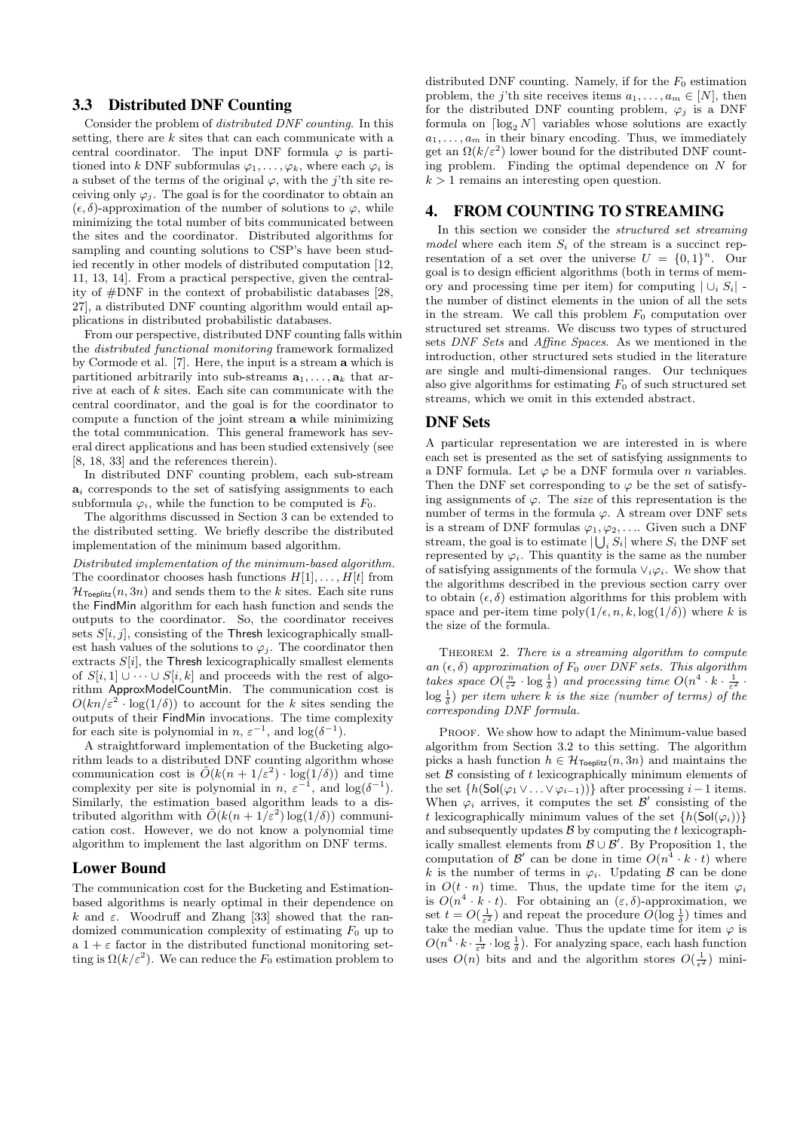## 3.3 Distributed DNF Counting

Consider the problem of distributed DNF counting. In this setting, there are  $k$  sites that can each communicate with a central coordinator. The input DNF formula  $\varphi$  is partitioned into k DNF subformulas  $\varphi_1, \ldots, \varphi_k$ , where each  $\varphi_i$  is a subset of the terms of the original  $\varphi$ , with the j'th site receiving only  $\varphi_i$ . The goal is for the coordinator to obtain an  $(\epsilon, \delta)$ -approximation of the number of solutions to  $\varphi$ , while minimizing the total number of bits communicated between the sites and the coordinator. Distributed algorithms for sampling and counting solutions to CSP's have been studied recently in other models of distributed computation [12, 11, 13, 14]. From a practical perspective, given the centrality of #DNF in the context of probabilistic databases [28, 27], a distributed DNF counting algorithm would entail applications in distributed probabilistic databases.

From our perspective, distributed DNF counting falls within the distributed functional monitoring framework formalized by Cormode et al. [7]. Here, the input is a stream a which is partitioned arbitrarily into sub-streams  $a_1, \ldots, a_k$  that arrive at each of k sites. Each site can communicate with the central coordinator, and the goal is for the coordinator to compute a function of the joint stream a while minimizing the total communication. This general framework has several direct applications and has been studied extensively (see [8, 18, 33] and the references therein).

In distributed DNF counting problem, each sub-stream  $a_i$  corresponds to the set of satisfying assignments to each subformula  $\varphi_i$ , while the function to be computed is  $F_0$ .

The algorithms discussed in Section 3 can be extended to the distributed setting. We briefly describe the distributed implementation of the minimum based algorithm.

Distributed implementation of the minimum-based algorithm. The coordinator chooses hash functions  $H[1], \ldots, H[t]$  from  $\mathcal{H}_{\text{Teelitz}}(n, 3n)$  and sends them to the k sites. Each site runs the FindMin algorithm for each hash function and sends the outputs to the coordinator. So, the coordinator receives sets  $S[i, j]$ , consisting of the Thresh lexicographically smallest hash values of the solutions to  $\varphi_i$ . The coordinator then extracts  $S[i]$ , the Thresh lexicographically smallest elements of  $S[i, 1] \cup \cdots \cup S[i, k]$  and proceeds with the rest of algorithm ApproxModelCountMin. The communication cost is  $O(kn/\varepsilon^2 \cdot \log(1/\delta))$  to account for the k sites sending the outputs of their FindMin invocations. The time complexity for each site is polynomial in  $n, \varepsilon^{-1}$ , and  $\log(\delta^{-1})$ .

A straightforward implementation of the Bucketing algorithm leads to a distributed DNF counting algorithm whose communication cost is  $\tilde{O}(k(n+1/\varepsilon^2) \cdot \log(1/\delta))$  and time complexity per site is polynomial in  $n, \varepsilon^{-1}$ , and  $\log(\delta^{-1})$ . Similarly, the estimation based algorithm leads to a distributed algorithm with  $\tilde{O}(k(n+1/\varepsilon^2) \log(1/\delta))$  communication cost. However, we do not know a polynomial time algorithm to implement the last algorithm on DNF terms.

# Lower Bound

The communication cost for the Bucketing and Estimationbased algorithms is nearly optimal in their dependence on k and  $\varepsilon$ . Woodruff and Zhang [33] showed that the randomized communication complexity of estimating  $F_0$  up to a  $1 + \varepsilon$  factor in the distributed functional monitoring setting is  $\Omega(k/\varepsilon^2)$ . We can reduce the  $F_0$  estimation problem to

distributed DNF counting. Namely, if for the  $F_0$  estimation problem, the j'th site receives items  $a_1, \ldots, a_m \in [N]$ , then for the distributed DNF counting problem,  $\varphi_j$  is a DNF formula on  $\lceil \log_2 N \rceil$  variables whose solutions are exactly  $a_1, \ldots, a_m$  in their binary encoding. Thus, we immediately get an  $\Omega(k/\varepsilon^2)$  lower bound for the distributed DNF counting problem. Finding the optimal dependence on N for  $k > 1$  remains an interesting open question.

### 4. FROM COUNTING TO STREAMING

In this section we consider the structured set streaming model where each item  $S_i$  of the stream is a succinct representation of a set over the universe  $U = \{0,1\}^n$ . Our goal is to design efficient algorithms (both in terms of memory and processing time per item) for computing  $\vert \cup_i S_i \vert$ . the number of distinct elements in the union of all the sets in the stream. We call this problem  $F_0$  computation over structured set streams. We discuss two types of structured sets DNF Sets and Affine Spaces. As we mentioned in the introduction, other structured sets studied in the literature are single and multi-dimensional ranges. Our techniques also give algorithms for estimating  $F_0$  of such structured set streams, which we omit in this extended abstract.

#### DNF Sets

A particular representation we are interested in is where each set is presented as the set of satisfying assignments to a DNF formula. Let  $\varphi$  be a DNF formula over *n* variables. Then the DNF set corresponding to  $\varphi$  be the set of satisfying assignments of  $\varphi$ . The *size* of this representation is the number of terms in the formula  $\varphi$ . A stream over DNF sets is a stream of DNF formulas  $\varphi_1, \varphi_2, \ldots$ . Given such a DNF stream, the goal is to estimate  $\left|\bigcup_{i} S_i\right|$  where  $S_i$  the DNF set represented by  $\varphi_i$ . This quantity is the same as the number of satisfying assignments of the formula  $\vee_i\varphi_i$ . We show that the algorithms described in the previous section carry over to obtain  $(\epsilon, \delta)$  estimation algorithms for this problem with space and per-item time  $\text{poly}(1/\epsilon, n, k, \log(1/\delta))$  where k is the size of the formula.

THEOREM 2. There is a streaming algorithm to compute an  $(\epsilon, \delta)$  approximation of  $F_0$  over DNF sets. This algorithm takes space  $O(\frac{n}{\varepsilon^2} \cdot \log \frac{1}{\delta})$  and processing time  $O(n^4 \cdot k \cdot \frac{1}{\varepsilon^2} \cdot$  $\log \frac{1}{\delta}$  per item where k is the size (number of terms) of the corresponding DNF formula.

PROOF. We show how to adapt the Minimum-value based algorithm from Section 3.2 to this setting. The algorithm picks a hash function  $h \in \mathcal{H}_{\text{Toeplitz}}(n, 3n)$  and maintains the set  $B$  consisting of  $t$  lexicographically minimum elements of the set  $\{h(\textsf{Sol}(\varphi_1 \vee \ldots \vee \varphi_{i-1}))\}$  after processing  $i-1$  items. When  $\varphi_i$  arrives, it computes the set  $\mathcal{B}'$  consisting of the t lexicographically minimum values of the set  $\{h(\textsf{Sol}(\varphi_i))\}$ and subsequently updates  $\beta$  by computing the t lexicographically smallest elements from  $\mathcal{B} \cup \mathcal{B}'$ . By Proposition 1, the computation of  $\mathcal{B}'$  can be done in time  $O(n^4 \cdot k \cdot t)$  where k is the number of terms in  $\varphi_i$ . Updating  $\beta$  can be done in  $O(t \cdot n)$  time. Thus, the update time for the item  $\varphi_i$ is  $O(n^4 \cdot k \cdot t)$ . For obtaining an  $(\varepsilon, \delta)$ -approximation, we set  $t = O(\frac{1}{\varepsilon^2})$  and repeat the procedure  $O(\log \frac{1}{\delta})$  times and take the median value. Thus the update time for item  $\varphi$  is  $O(n^4 \cdot k \cdot \frac{1}{\varepsilon^2} \cdot \log \frac{1}{\delta})$ . For analyzing space, each hash function uses  $O(n)$  bits and and the algorithm stores  $O(\frac{1}{\epsilon^2})$  mini-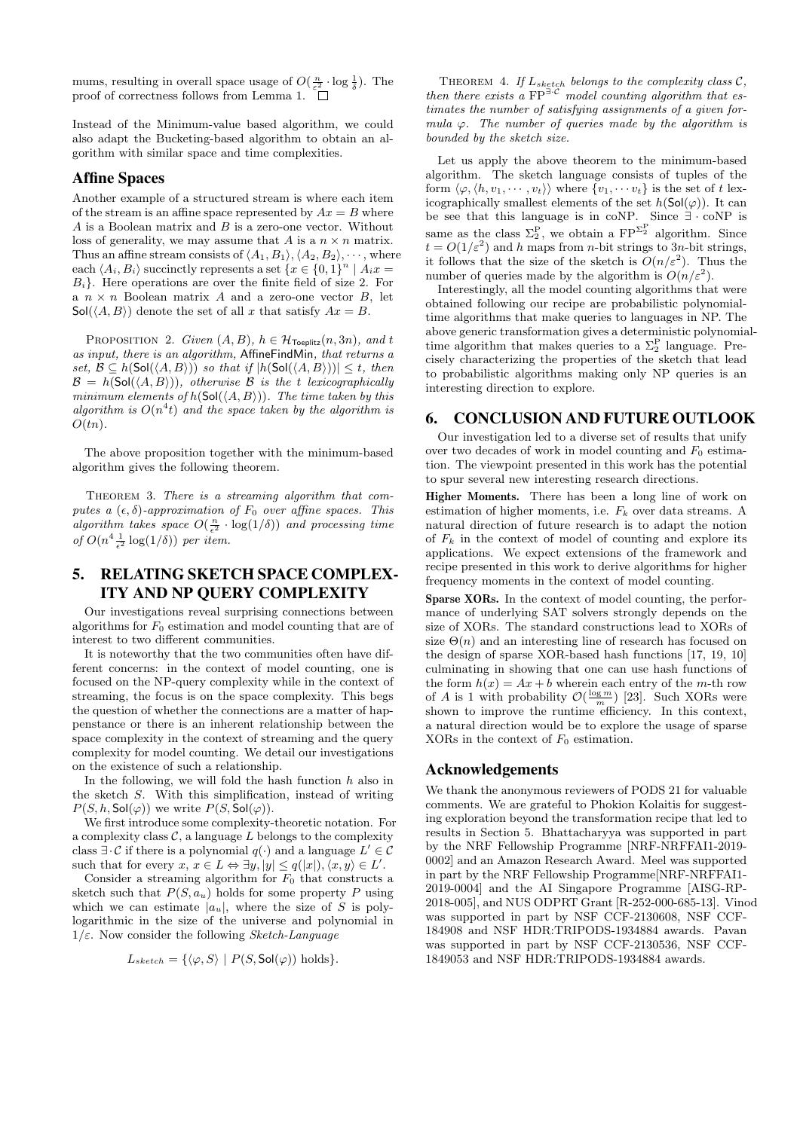mums, resulting in overall space usage of  $O(\frac{n}{\varepsilon^2} \cdot \log \frac{1}{\delta})$ . The proof of correctness follows from Lemma 1.  $\Box$ 

Instead of the Minimum-value based algorithm, we could also adapt the Bucketing-based algorithm to obtain an algorithm with similar space and time complexities.

# Affine Spaces

Another example of a structured stream is where each item of the stream is an affine space represented by  $Ax = B$  where A is a Boolean matrix and B is a zero-one vector. Without loss of generality, we may assume that A is a  $n \times n$  matrix. Thus an affine stream consists of  $\langle A_1, B_1 \rangle, \langle A_2, B_2 \rangle, \cdots$ , where each  $\langle A_i, B_i \rangle$  succinctly represents a set  $\{x \in \{0, 1\}^n \mid A_i x =$  $B_i$ . Here operations are over the finite field of size 2. For a  $n \times n$  Boolean matrix A and a zero-one vector B, let  $\mathsf{Sol}(\langle A, B \rangle)$  denote the set of all x that satisfy  $Ax = B$ .

PROPOSITION 2. Given  $(A, B)$ ,  $h \in \mathcal{H}_{\mathsf{Toeplitz}}(n, 3n)$ , and t as input, there is an algorithm, AffineFindMin, that returns a set,  $\mathcal{B} \subseteq h(\mathsf{Sol}(\langle A, B \rangle))$  so that if  $|h(\mathsf{Sol}(\langle A, B \rangle))| \leq t$ , then  $\mathcal{B} = h(\text{Sol}(\langle A, B \rangle)),$  otherwise  $\mathcal B$  is the t lexicographically minimum elements of  $h(\mathsf{Sol}(\langle A, B \rangle))$ . The time taken by this algorithm is  $O(n^4t)$  and the space taken by the algorithm is  $O(tn)$ .

The above proposition together with the minimum-based algorithm gives the following theorem.

THEOREM 3. There is a streaming algorithm that computes a  $(\epsilon, \delta)$ -approximation of  $F_0$  over affine spaces. This algorithm takes space  $O(\frac{n}{\epsilon^2} \cdot \log(1/\delta))$  and processing time of  $O(n^4 \frac{1}{\epsilon^2} \log(1/\delta))$  per item.

# 5. RELATING SKETCH SPACE COMPLEX-ITY AND NP QUERY COMPLEXITY

Our investigations reveal surprising connections between algorithms for  $F_0$  estimation and model counting that are of interest to two different communities.

It is noteworthy that the two communities often have different concerns: in the context of model counting, one is focused on the NP-query complexity while in the context of streaming, the focus is on the space complexity. This begs the question of whether the connections are a matter of happenstance or there is an inherent relationship between the space complexity in the context of streaming and the query complexity for model counting. We detail our investigations on the existence of such a relationship.

In the following, we will fold the hash function  $h$  also in the sketch S. With this simplification, instead of writing  $P(S, h, Sol(\varphi))$  we write  $P(S, Sol(\varphi))$ .

We first introduce some complexity-theoretic notation. For a complexity class  $\mathcal{C}$ , a language  $L$  belongs to the complexity class  $\exists \cdot \mathcal{C}$  if there is a polynomial  $q(\cdot)$  and a language  $L' \in \mathcal{C}$ such that for every  $x, x \in L \Leftrightarrow \exists y, |y| \le q(|x|), \langle x, y \rangle \in L'.$ 

Consider a streaming algorithm for  $F_0$  that constructs a sketch such that  $P(S, a_u)$  holds for some property P using which we can estimate  $|a_u|$ , where the size of S is polylogarithmic in the size of the universe and polynomial in  $1/\varepsilon$ . Now consider the following *Sketch-Language* 

 $L_{sketch} = {\langle \varphi, S \rangle \mid P(S, \mathsf{Sol}(\varphi)) \text{ holds}}.$ 

THEOREM 4. If  $L_{sketch}$  belongs to the complexity class  $C$ , then there exists a  $\text{FP}^{\exists \cdot \mathcal{C}}$  model counting algorithm that estimates the number of satisfying assignments of a given formula  $\varphi$ . The number of queries made by the algorithm is bounded by the sketch size.

Let us apply the above theorem to the minimum-based algorithm. The sketch language consists of tuples of the form  $\langle \varphi, \langle h, v_1, \cdots, v_t \rangle \rangle$  where  $\{v_1, \cdots v_t\}$  is the set of t lexicographically smallest elements of the set  $h(Sol(\varphi))$ . It can be see that this language is in coNP. Since ∃ · coNP is same as the class  $\Sigma_2^P$ , we obtain a  $\text{FP}^{\Sigma_2^P}$  algorithm. Since  $t = O(1/\varepsilon^2)$  and h maps from n-bit strings to 3n-bit strings, it follows that the size of the sketch is  $O(n/\varepsilon^2)$ . Thus the number of queries made by the algorithm is  $O(n/\varepsilon^2)$ .

Interestingly, all the model counting algorithms that were obtained following our recipe are probabilistic polynomialtime algorithms that make queries to languages in NP. The above generic transformation gives a deterministic polynomialtime algorithm that makes queries to a  $\Sigma_2^{\rm P}$  language. Precisely characterizing the properties of the sketch that lead to probabilistic algorithms making only NP queries is an interesting direction to explore.

# 6. CONCLUSION AND FUTURE OUTLOOK

Our investigation led to a diverse set of results that unify over two decades of work in model counting and  $F_0$  estimation. The viewpoint presented in this work has the potential to spur several new interesting research directions.

Higher Moments. There has been a long line of work on estimation of higher moments, i.e.  $F_k$  over data streams. A natural direction of future research is to adapt the notion of  $F_k$  in the context of model of counting and explore its applications. We expect extensions of the framework and recipe presented in this work to derive algorithms for higher frequency moments in the context of model counting.

Sparse XORs. In the context of model counting, the performance of underlying SAT solvers strongly depends on the size of XORs. The standard constructions lead to XORs of size  $\Theta(n)$  and an interesting line of research has focused on the design of sparse XOR-based hash functions [17, 19, 10] culminating in showing that one can use hash functions of the form  $h(x) = Ax + b$  wherein each entry of the *m*-th row of A is 1 with probability  $\mathcal{O}(\frac{\log m}{m})$  [23]. Such XORs were shown to improve the runtime efficiency. In this context, a natural direction would be to explore the usage of sparse XORs in the context of  $F_0$  estimation.

# Acknowledgements

We thank the anonymous reviewers of PODS 21 for valuable comments. We are grateful to Phokion Kolaitis for suggesting exploration beyond the transformation recipe that led to results in Section 5. Bhattacharyya was supported in part by the NRF Fellowship Programme [NRF-NRFFAI1-2019- 0002] and an Amazon Research Award. Meel was supported in part by the NRF Fellowship Programme[NRF-NRFFAI1- 2019-0004] and the AI Singapore Programme [AISG-RP-2018-005], and NUS ODPRT Grant [R-252-000-685-13]. Vinod was supported in part by NSF CCF-2130608, NSF CCF-184908 and NSF HDR:TRIPODS-1934884 awards. Pavan was supported in part by NSF CCF-2130536, NSF CCF-1849053 and NSF HDR:TRIPODS-1934884 awards.